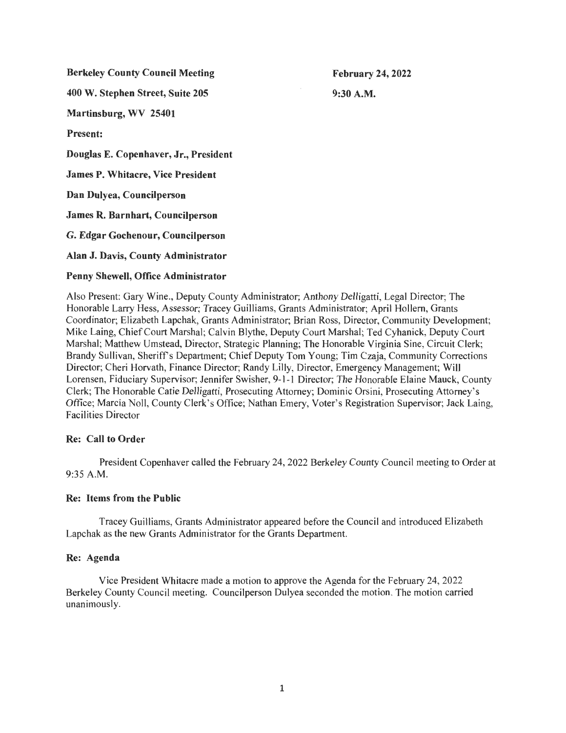Berkeley County Council Meeting

February 24, 2022 9:30A.M.

400 W. Stephen Street, Suite 205

Martinsburg, WV 25401

Present:

Douglas E. Copenhaver, Jr., President

James P. Whitacre, Vice President

Dan Dulyea, Councilperson

James R. Barnhart, Councilperson

G. Edgar Gochenour, Councilperson

Alan J. Davis, County Administrator

# Penny Shewell, Office Administrator

Also Present: Gary Wine., Deputy County Administrator; Anthony Delligatti, Legal Director; The Honorable Larry Hess, Assessor; Tracey Guilliams, Grants Administrator; April Hollem, Grants Coordinator; Elizabeth Lapchak, Grants Administrator; Brian Ross, Director, Community Development; Mike Laing, Chief Court Marshal; Calvin Blythe, Deputy Court Marshal; Ted Cyhanick, Deputy Court Marshal; Matthew Umstead, Director, Strategic Planning; The Honorable Virginia Sine, Circuit Clerk; Brandy Sullivan, Sheriff's Department; Chief Deputy Tom Young; Tim Czaja, Community Corrections Director; Cheri Horvath, Finance Director; Randy Lilly, Director, Emergency Management; Will Lorensen, Fiduciary Supervisor; Jennifer Swisher, 9-1-1 Director; The Honorable Elaine Mauck, County Clerk; The Honorable Catie Delligatti, Prosecuting Attorney; Dominic Orsini, Prosecuting Attorney's Office; Marcia Noll, County Clerk's Office; Nathan Emery, Voter's Registration Supervisor; Jack Laing, Facilities Director

## Re: Call to Order

President Copenhaver called the February 24, 2022 Berkeley County Council meeting to Order at 9:35 A.M.

## Re: Items from the Public

Tracey Guilliams, Grants Administrator appeared before the Council and introduced Elizabeth Lapchak as the new Grants Administrator for the Grants Department.

## Re: Agenda

Vice President Whitacre made a motion to approve the Agenda for the February 24, 2022 Berkeley County Council meeting. Councilperson Dulyea seconded the motion. The motion carried unanimously.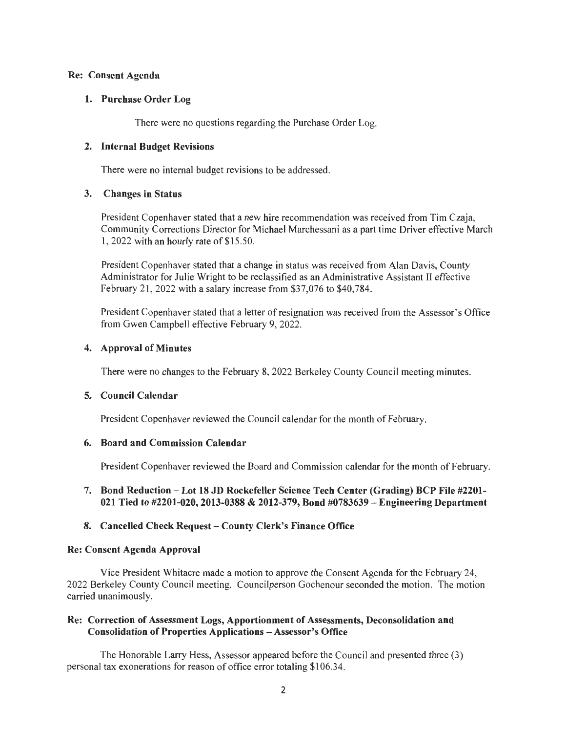#### Re: Consent Agenda

#### 1. Purchase Order Log

There were no questions regarding the Purchase Order Log.

#### 2. Internal Budget Revisions

There were no internal budget revisions to be addressed.

#### 3. Changes in Status

President Copenhaver stated that a new hire recommendation was received from Tim Czaja, Community Corrections Director for Michael Marchessani as a part time Driver effective March 1, 2022 with an hourly rate of \$15 .50.

President Copenhaver stated that a change in status was received from Alan Davis, County Administrator for Julie Wright to be reclassified as an Administrative Assistant II effective February 21, 2022 with a salary increase from \$37,076 to \$40,784.

President Copenhaver stated that a letter of resignation was received from the Assessor's Office from Gwen Campbell effective February 9, 2022.

#### 4. Approval of Minutes

There were no changes to the February 8, 2022 Berkeley County Council meeting minutes.

## 5. Council Calendar

President Copenhaver reviewed the Council calendar for the month of February.

## 6. Board and Commission Calendar

President Copenhaver reviewed the Board and Commission calendar for the month of February.

## 7. Bond Reduction - Lot 18 JD Rockefeller Science Tech Center (Grading) BCP File #2201- 021 Tied to #2201-020, 2013-0388 & 2012-379, Bond #0783639 - Engineering Department

## 8. Cancelled Check Request- County Clerk's Finance Office

#### Re: Consent Agenda Approval

Vice President Whitacre made a motion to approve the Consent Agenda for the February 24, 2022 Berkeley County Council meeting. Councilperson Gochenour seconded the motion. The motion carried unanimously.

## Re: Correction of Assessment Logs, Apportionment of Assessments, Deconsolidation and Consolidation of Properties Applications - Assessor's Office

The Honorable Larry Hess, Assessor appeared before the Council and presented three (3) personal tax exonerations for reason of office error totaling \$106.34.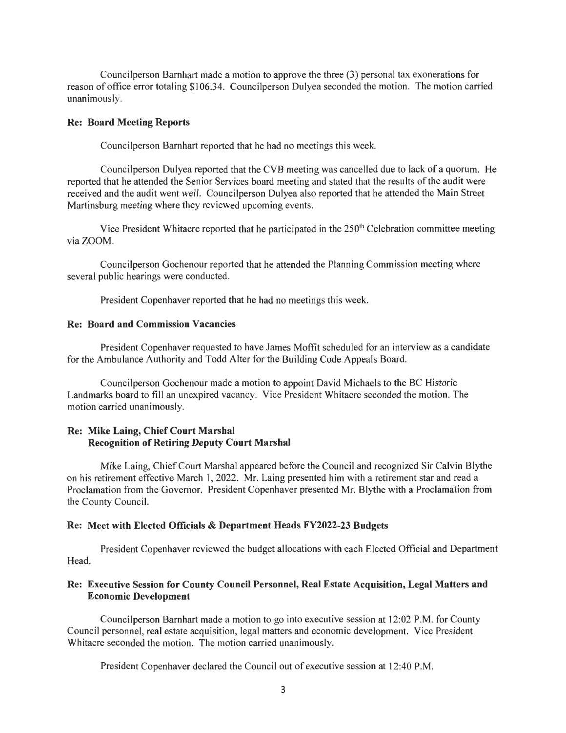Councilperson Barnhart made a motion to approve the three (3) personal tax exonerations for reason of office error totaling \$106.34. Councilperson Dulyea seconded the motion. The motion carried unanimously.

#### **Re: Board Meeting Reports**

Councilperson Barnhart reported that he had no meetings this week.

Councilperson Dulyea reported that the CYB meeting was cancelled due to lack of a quorum. He reported that he attended the Senior Services board meeting and stated that the results of the audit were received and the audit went well. Councilperson Dulyea also reported that he attended the Main Street Martinsburg meeting where they reviewed upcoming events.

Vice President Whitacre reported that he participated in the  $250<sup>m</sup>$  Celebration committee meeting via ZOOM.

Councilperson Gochenour reported that he attended the Planning Commission meeting where several public hearings were conducted.

President Copenhaver reported that he had no meetings this week.

#### **Re: Board and Commission Vacancies**

President Copenhaver requested to have James Moffit scheduled for an interview as a candidate for the Ambulance Authority and Todd Alter for the Building Code Appeals Board.

Councilperson Gochenour made a motion to appoint David Michaels to the BC Historic Landmarks board to fill an unexpired vacancy. Vice President Whitacre seconded the motion. The motion carried unanimously.

#### **Re: Mike Laing, Chief Court Marshal Recognition of Retiring Deputy Court Marshal**

Mike Laing, Chief Court Marshal appeared before the Council and recognized Sir Calvin Blythe on his retirement effective March 1, 2022. Mr. Laing presented him with a retirement star and read a Proclamation from the Governor. President Copenhaver presented Mr. Blythe with a Proclamation from the County Council.

#### **Re: Meet with Elected Officials & Department Heads FY2022-23 Budgets**

President Copenhaver reviewed the budget allocations with each Elected Official and Department Head.

#### **Re: Executive Session for County Council Personnel, Real Estate Acquisition, Legal Matters and Economic Development**

Councilperson Barnhart made a motion to go into executive session at 12:02 P.M. for County Council personnel, real estate acquisition, legal matters and economic development. Vice President Whitacre seconded the motion. The motion carried unanimously.

President Copenhaver declared the Council out of executive session at 12:40 P.M.